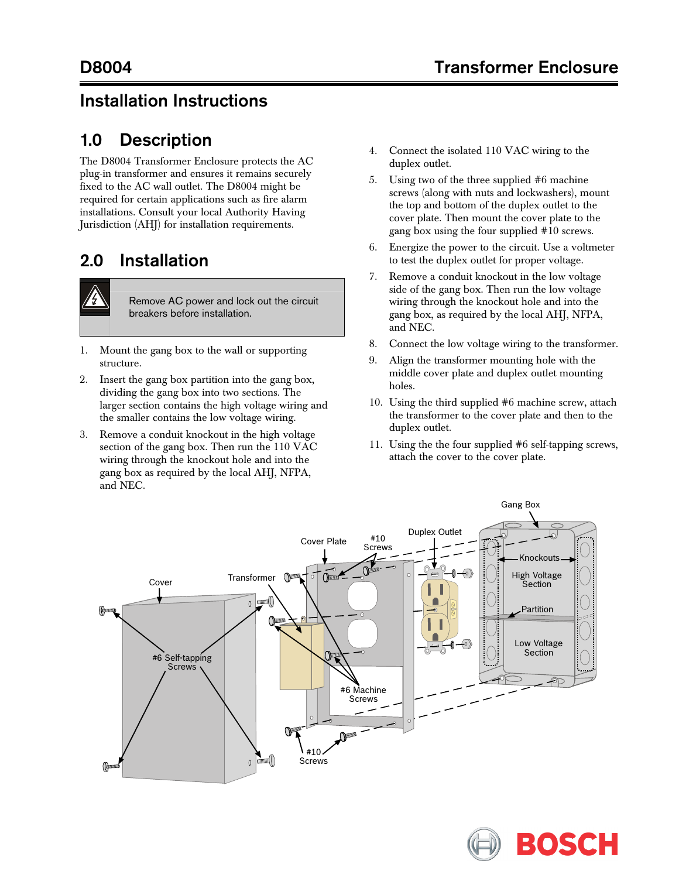## Installation Instructions

## 1.0 Description

The D8004 Transformer Enclosure protects the AC plug-in transformer and ensures it remains securely fixed to the AC wall outlet. The D8004 might be required for certain applications such as fire alarm installations. Consult your local Authority Having Jurisdiction (AHJ) for installation requirements.

## 2.0 Installation



Remove AC power and lock out the circuit breakers before installation.

- 1. Mount the gang box to the wall or supporting structure.
- 2. Insert the gang box partition into the gang box, dividing the gang box into two sections. The larger section contains the high voltage wiring and the smaller contains the low voltage wiring.
- 3. Remove a conduit knockout in the high voltage section of the gang box. Then run the 110 VAC wiring through the knockout hole and into the gang box as required by the local AHJ, NFPA, and NEC.
- 4. Connect the isolated 110 VAC wiring to the duplex outlet.
- 5. Using two of the three supplied #6 machine screws (along with nuts and lockwashers), mount the top and bottom of the duplex outlet to the cover plate. Then mount the cover plate to the gang box using the four supplied #10 screws.
- 6. Energize the power to the circuit. Use a voltmeter to test the duplex outlet for proper voltage.
- 7. Remove a conduit knockout in the low voltage side of the gang box. Then run the low voltage wiring through the knockout hole and into the gang box, as required by the local AHJ, NFPA, and NEC.
- 8. Connect the low voltage wiring to the transformer.
- 9. Align the transformer mounting hole with the middle cover plate and duplex outlet mounting holes.
- 10. Using the third supplied #6 machine screw, attach the transformer to the cover plate and then to the duplex outlet.
- 11. Using the the four supplied #6 self-tapping screws, attach the cover to the cover plate.